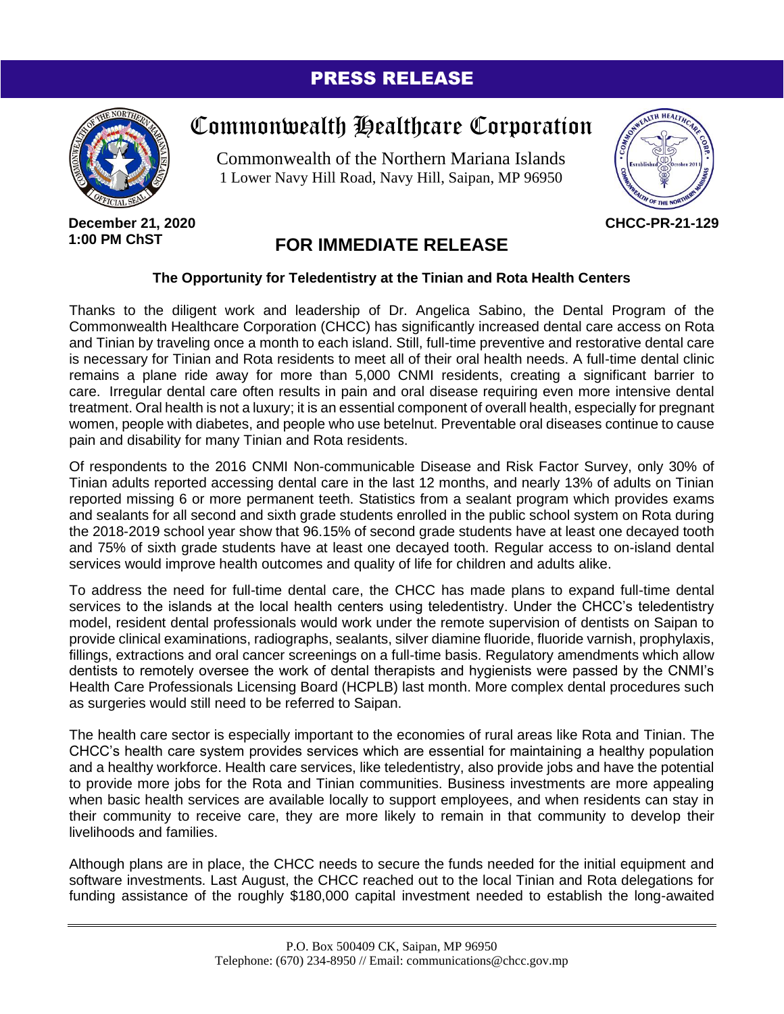## PRESS RELEASE



## Commonwealth Healthcare Corporation

Commonwealth of the Northern Mariana Islands 1 Lower Navy Hill Road, Navy Hill, Saipan, MP 96950



**December 21, 2020 1:00 PM ChST**

## **FOR IMMEDIATE RELEASE**

## **The Opportunity for Teledentistry at the Tinian and Rota Health Centers**

Thanks to the diligent work and leadership of Dr. Angelica Sabino, the Dental Program of the Commonwealth Healthcare Corporation (CHCC) has significantly increased dental care access on Rota and Tinian by traveling once a month to each island. Still, full-time preventive and restorative dental care is necessary for Tinian and Rota residents to meet all of their oral health needs. A full-time dental clinic remains a plane ride away for more than 5,000 CNMI residents, creating a significant barrier to care. Irregular dental care often results in pain and oral disease requiring even more intensive dental treatment. Oral health is not a luxury; it is an essential component of overall health, especially for pregnant women, people with diabetes, and people who use betelnut. Preventable oral diseases continue to cause pain and disability for many Tinian and Rota residents.

Of respondents to the 2016 CNMI Non-communicable Disease and Risk Factor Survey, only 30% of Tinian adults reported accessing dental care in the last 12 months, and nearly 13% of adults on Tinian reported missing 6 or more permanent teeth. Statistics from a sealant program which provides exams and sealants for all second and sixth grade students enrolled in the public school system on Rota during the 2018-2019 school year show that 96.15% of second grade students have at least one decayed tooth and 75% of sixth grade students have at least one decayed tooth. Regular access to on-island dental services would improve health outcomes and quality of life for children and adults alike.

To address the need for full-time dental care, the CHCC has made plans to expand full-time dental services to the islands at the local health centers using teledentistry. Under the CHCC's teledentistry model, resident dental professionals would work under the remote supervision of dentists on Saipan to provide clinical examinations, radiographs, sealants, silver diamine fluoride, fluoride varnish, prophylaxis, fillings, extractions and oral cancer screenings on a full-time basis. Regulatory amendments which allow dentists to remotely oversee the work of dental therapists and hygienists were passed by the CNMI's Health Care Professionals Licensing Board (HCPLB) last month. More complex dental procedures such as surgeries would still need to be referred to Saipan.

The health care sector is especially important to the economies of rural areas like Rota and Tinian. The CHCC's health care system provides services which are essential for maintaining a healthy population and a healthy workforce. Health care services, like teledentistry, also provide jobs and have the potential to provide more jobs for the Rota and Tinian communities. Business investments are more appealing when basic health services are available locally to support employees, and when residents can stay in their community to receive care, they are more likely to remain in that community to develop their livelihoods and families.

Although plans are in place, the CHCC needs to secure the funds needed for the initial equipment and software investments. Last August, the CHCC reached out to the local Tinian and Rota delegations for funding assistance of the roughly \$180,000 capital investment needed to establish the long-awaited